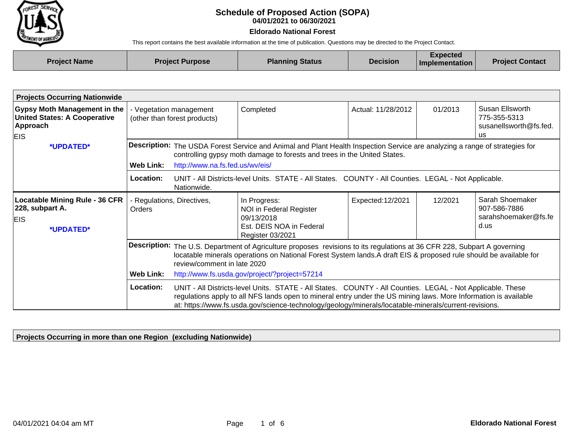

## **04/01/2021 to 06/30/2021 Schedule of Proposed Action (SOPA)**

## **Eldorado National Forest**

This report contains the best available information at the time of publication. Questions may be directed to the Project Contact.

| <b>Project Name</b> | <b>Project Purpose</b> | <b>Planning Status</b> | <b>Decision</b> | Expected<br>Implementation | <b>Project Contact</b> |
|---------------------|------------------------|------------------------|-----------------|----------------------------|------------------------|
|                     |                        |                        |                 |                            |                        |

| <b>Projects Occurring Nationwide</b>                                                                 |                                                       |                                                                                                                                                                                                                                                                                                                                         |                                                                                                       |                    |         |                                                                        |  |
|------------------------------------------------------------------------------------------------------|-------------------------------------------------------|-----------------------------------------------------------------------------------------------------------------------------------------------------------------------------------------------------------------------------------------------------------------------------------------------------------------------------------------|-------------------------------------------------------------------------------------------------------|--------------------|---------|------------------------------------------------------------------------|--|
| <b>Gypsy Moth Management in the</b><br><b>United States: A Cooperative</b><br>Approach<br><b>EIS</b> | Vegetation management<br>(other than forest products) |                                                                                                                                                                                                                                                                                                                                         | Completed                                                                                             | Actual: 11/28/2012 | 01/2013 | Susan Ellsworth<br>775-355-5313<br>susanellsworth@fs.fed.<br><b>us</b> |  |
| *UPDATED*                                                                                            | Web Link:                                             | <b>Description:</b> The USDA Forest Service and Animal and Plant Health Inspection Service are analyzing a range of strategies for<br>controlling gypsy moth damage to forests and trees in the United States.<br>http://www.na.fs.fed.us/wv/eis/                                                                                       |                                                                                                       |                    |         |                                                                        |  |
|                                                                                                      | <b>Location:</b>                                      | Nationwide.                                                                                                                                                                                                                                                                                                                             | UNIT - All Districts-level Units. STATE - All States. COUNTY - All Counties. LEGAL - Not Applicable.  |                    |         |                                                                        |  |
| <b>Locatable Mining Rule - 36 CFR</b><br>228, subpart A.<br>EIS.<br>*UPDATED*                        | - Regulations, Directives,<br>Orders                  |                                                                                                                                                                                                                                                                                                                                         | In Progress:<br>NOI in Federal Register<br>09/13/2018<br>Est. DEIS NOA in Federal<br>Register 03/2021 | Expected: 12/2021  | 12/2021 | Sarah Shoemaker<br>907-586-7886<br>sarahshoemaker@fs.fe<br>d.us        |  |
|                                                                                                      |                                                       | Description: The U.S. Department of Agriculture proposes revisions to its regulations at 36 CFR 228, Subpart A governing<br>locatable minerals operations on National Forest System lands.A draft EIS & proposed rule should be available for<br>review/comment in late 2020                                                            |                                                                                                       |                    |         |                                                                        |  |
|                                                                                                      | <b>Web Link:</b>                                      |                                                                                                                                                                                                                                                                                                                                         | http://www.fs.usda.gov/project/?project=57214                                                         |                    |         |                                                                        |  |
|                                                                                                      | Location:                                             | UNIT - All Districts-level Units. STATE - All States. COUNTY - All Counties. LEGAL - Not Applicable. These<br>regulations apply to all NFS lands open to mineral entry under the US mining laws. More Information is available<br>at: https://www.fs.usda.gov/science-technology/geology/minerals/locatable-minerals/current-revisions. |                                                                                                       |                    |         |                                                                        |  |

**Projects Occurring in more than one Region (excluding Nationwide)**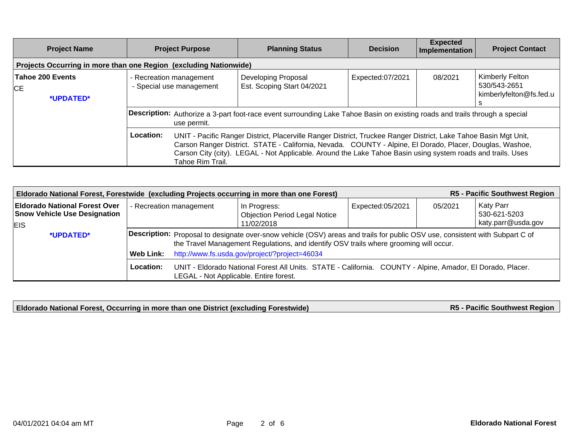| <b>Project Name</b>                                               | <b>Project Purpose</b>                                                                                                                                                                                                                                                                                                                                                                                                                                                                                 | <b>Planning Status</b>                            | <b>Decision</b>  | <b>Expected</b><br>Implementation | <b>Project Contact</b>                                     |  |  |  |
|-------------------------------------------------------------------|--------------------------------------------------------------------------------------------------------------------------------------------------------------------------------------------------------------------------------------------------------------------------------------------------------------------------------------------------------------------------------------------------------------------------------------------------------------------------------------------------------|---------------------------------------------------|------------------|-----------------------------------|------------------------------------------------------------|--|--|--|
| Projects Occurring in more than one Region (excluding Nationwide) |                                                                                                                                                                                                                                                                                                                                                                                                                                                                                                        |                                                   |                  |                                   |                                                            |  |  |  |
| Tahoe 200 Events<br>CE<br>*UPDATED*                               | - Recreation management<br>- Special use management                                                                                                                                                                                                                                                                                                                                                                                                                                                    | Developing Proposal<br>Est. Scoping Start 04/2021 | Expected:07/2021 | 08/2021                           | Kimberly Felton<br>530/543-2651<br>kimberlyfelton@fs.fed.u |  |  |  |
|                                                                   | Description: Authorize a 3-part foot-race event surrounding Lake Tahoe Basin on existing roads and trails through a special<br>use permit.<br>Location:<br>UNIT - Pacific Ranger District, Placerville Ranger District, Truckee Ranger District, Lake Tahoe Basin Mgt Unit,<br>Carson Ranger District. STATE - California, Nevada. COUNTY - Alpine, El Dorado, Placer, Douglas, Washoe,<br>Carson City (city). LEGAL - Not Applicable. Around the Lake Tahoe Basin using system roads and trails. Uses |                                                   |                  |                                   |                                                            |  |  |  |
|                                                                   | Tahoe Rim Trail.                                                                                                                                                                                                                                                                                                                                                                                                                                                                                       |                                                   |                  |                                   |                                                            |  |  |  |

| R5 - Pacific Southwest Region<br>Eldorado National Forest, Forestwide (excluding Projects occurring in more than one Forest) |                                                                                                                                                                   |                                                                                                                                                                                                                       |                                                      |                  |         |                           |  |
|------------------------------------------------------------------------------------------------------------------------------|-------------------------------------------------------------------------------------------------------------------------------------------------------------------|-----------------------------------------------------------------------------------------------------------------------------------------------------------------------------------------------------------------------|------------------------------------------------------|------------------|---------|---------------------------|--|
| <b>Eldorado National Forest Over</b><br><b>Snow Vehicle Use Designation</b>                                                  | - Recreation management                                                                                                                                           |                                                                                                                                                                                                                       | In Progress:<br><b>Objection Period Legal Notice</b> | Expected:05/2021 | 05/2021 | Katy Parr<br>530-621-5203 |  |
| <b>EIS</b>                                                                                                                   |                                                                                                                                                                   |                                                                                                                                                                                                                       | 11/02/2018                                           |                  |         | katy.parr@usda.gov        |  |
| *UPDATED*                                                                                                                    |                                                                                                                                                                   | Description: Proposal to designate over-snow vehicle (OSV) areas and trails for public OSV use, consistent with Subpart C of<br>the Travel Management Regulations, and identify OSV trails where grooming will occur. |                                                      |                  |         |                           |  |
|                                                                                                                              | http://www.fs.usda.gov/project/?project=46034<br>Web Link:                                                                                                        |                                                                                                                                                                                                                       |                                                      |                  |         |                           |  |
|                                                                                                                              | Location:<br>UNIT - Eldorado National Forest All Units. STATE - California. COUNTY - Alpine, Amador, El Dorado, Placer.<br>LEGAL - Not Applicable. Entire forest. |                                                                                                                                                                                                                       |                                                      |                  |         |                           |  |

**Eldorado National Forest, Occurring in more than one District (excluding Forestwide)**

**R5 - Pacific Southwest Region**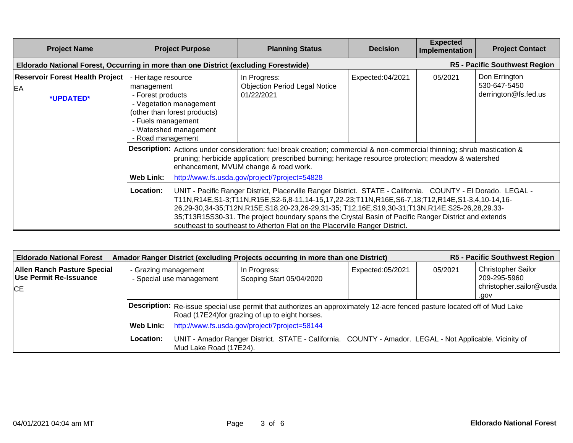| <b>Project Name</b>                                       |                                                                                                                                                                                        | <b>Project Purpose</b>                                                                                                                                                                                                                                                                                                                         |                                                                                                                                                                                                                                                                                                                                                                                                                                                                                                      | <b>Planning Status</b>                                                               | <b>Decision</b> | <b>Expected</b><br>Implementation                     | <b>Project Contact</b>        |  |
|-----------------------------------------------------------|----------------------------------------------------------------------------------------------------------------------------------------------------------------------------------------|------------------------------------------------------------------------------------------------------------------------------------------------------------------------------------------------------------------------------------------------------------------------------------------------------------------------------------------------|------------------------------------------------------------------------------------------------------------------------------------------------------------------------------------------------------------------------------------------------------------------------------------------------------------------------------------------------------------------------------------------------------------------------------------------------------------------------------------------------------|--------------------------------------------------------------------------------------|-----------------|-------------------------------------------------------|-------------------------------|--|
|                                                           |                                                                                                                                                                                        |                                                                                                                                                                                                                                                                                                                                                |                                                                                                                                                                                                                                                                                                                                                                                                                                                                                                      | Eldorado National Forest, Occurring in more than one District (excluding Forestwide) |                 |                                                       | R5 - Pacific Southwest Region |  |
| <b>Reservoir Forest Health Project</b><br>EA<br>*UPDATED* | - Heritage resource<br>management<br>- Forest products<br>- Vegetation management<br>(other than forest products)<br>- Fuels management<br>- Watershed management<br>- Road management |                                                                                                                                                                                                                                                                                                                                                | In Progress:<br><b>Objection Period Legal Notice</b><br>01/22/2021                                                                                                                                                                                                                                                                                                                                                                                                                                   | Expected:04/2021                                                                     | 05/2021         | Don Errington<br>530-647-5450<br>derrington@fs.fed.us |                               |  |
|                                                           |                                                                                                                                                                                        | Description: Actions under consideration: fuel break creation; commercial & non-commercial thinning; shrub mastication &<br>pruning; herbicide application; prescribed burning; heritage resource protection; meadow & watershed<br>enhancement, MVUM change & road work.<br><b>Web Link:</b><br>http://www.fs.usda.gov/project/?project=54828 |                                                                                                                                                                                                                                                                                                                                                                                                                                                                                                      |                                                                                      |                 |                                                       |                               |  |
|                                                           |                                                                                                                                                                                        | <b>Location:</b>                                                                                                                                                                                                                                                                                                                               | UNIT - Pacific Ranger District, Placerville Ranger District. STATE - California. COUNTY - El Dorado. LEGAL -<br>T11N,R14E,S1-3;T11N,R15E,S2-6,8-11,14-15,17,22-23;T11N,R16E,S6-7,18;T12,R14E,S1-3,4,10-14,16-<br>26,29-30,34-35;T12N,R15E,S18,20-23,26-29,31-35; T12,16E,S19,30-31;T13N,R14E,S25-26,28,29.33-<br>35;T13R15S30-31. The project boundary spans the Crystal Basin of Pacific Ranger District and extends<br>southeast to southeast to Atherton Flat on the Placerville Ranger District. |                                                                                      |                 |                                                       |                               |  |

| <b>R5 - Pacific Southwest Region</b><br>Amador Ranger District (excluding Projects occurring in more than one District)<br><b>Eldorado National Forest</b> |                                                                                                                                                                                                                                           |                                                                                                                                   |                                          |                  |         |                                                                              |  |  |
|------------------------------------------------------------------------------------------------------------------------------------------------------------|-------------------------------------------------------------------------------------------------------------------------------------------------------------------------------------------------------------------------------------------|-----------------------------------------------------------------------------------------------------------------------------------|------------------------------------------|------------------|---------|------------------------------------------------------------------------------|--|--|
| <b>Allen Ranch Pasture Special</b><br>Use Permit Re-Issuance<br><b>CE</b>                                                                                  | - Grazing management<br>- Special use management                                                                                                                                                                                          |                                                                                                                                   | In Progress:<br>Scoping Start 05/04/2020 | Expected:05/2021 | 05/2021 | <b>Christopher Sailor</b><br>209-295-5960<br>christopher.sailor@usda<br>.gov |  |  |
|                                                                                                                                                            | Description: Re-issue special use permit that authorizes an approximately 12-acre fenced pasture located off of Mud Lake<br>Road (17E24) for grazing of up to eight horses.<br>http://www.fs.usda.gov/project/?project=58144<br>Web Link: |                                                                                                                                   |                                          |                  |         |                                                                              |  |  |
|                                                                                                                                                            | Location:                                                                                                                                                                                                                                 | UNIT - Amador Ranger District. STATE - California. COUNTY - Amador. LEGAL - Not Applicable. Vicinity of<br>Mud Lake Road (17E24). |                                          |                  |         |                                                                              |  |  |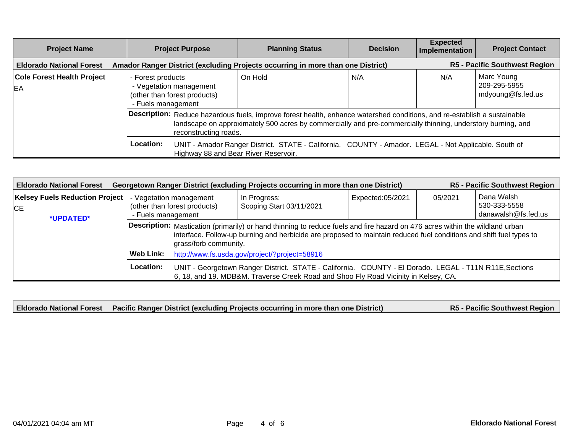| <b>Project Name</b>                     | <b>Project Purpose</b>                                                                                                                                                                                                                                           | <b>Planning Status</b>                                                                               | <b>Decision</b> | <b>Expected</b><br>Implementation | <b>Project Contact</b>                          |  |
|-----------------------------------------|------------------------------------------------------------------------------------------------------------------------------------------------------------------------------------------------------------------------------------------------------------------|------------------------------------------------------------------------------------------------------|-----------------|-----------------------------------|-------------------------------------------------|--|
| <b>Eldorado National Forest</b>         | Amador Ranger District (excluding Projects occurring in more than one District)                                                                                                                                                                                  |                                                                                                      |                 |                                   | <b>R5 - Pacific Southwest Region</b>            |  |
| <b>Cole Forest Health Project</b><br>EA | - Forest products<br>- Vegetation management<br>(other than forest products)<br>- Fuels management                                                                                                                                                               | On Hold                                                                                              | N/A             | N/A                               | Marc Young<br>209-295-5955<br>mdyoung@fs.fed.us |  |
|                                         | Description: Reduce hazardous fuels, improve forest health, enhance watershed conditions, and re-establish a sustainable<br>landscape on approximately 500 acres by commercially and pre-commercially thinning, understory burning, and<br>reconstructing roads. |                                                                                                      |                 |                                   |                                                 |  |
|                                         | Location:<br>Highway 88 and Bear River Reservoir.                                                                                                                                                                                                                | UNIT - Amador Ranger District. STATE - California. COUNTY - Amador. LEGAL - Not Applicable. South of |                 |                                   |                                                 |  |

| <b>R5 - Pacific Southwest Region</b><br>Georgetown Ranger District (excluding Projects occurring in more than one District)<br><b>Eldorado National Forest</b> |                                                                                                                                                                                                                                                                              |                                                                                                                                                                                               |                                          |                  |         |                                                   |  |
|----------------------------------------------------------------------------------------------------------------------------------------------------------------|------------------------------------------------------------------------------------------------------------------------------------------------------------------------------------------------------------------------------------------------------------------------------|-----------------------------------------------------------------------------------------------------------------------------------------------------------------------------------------------|------------------------------------------|------------------|---------|---------------------------------------------------|--|
| <b>Kelsey Fuels Reduction Project</b><br><b>CE</b><br>*UPDATED*                                                                                                | - Vegetation management<br>(other than forest products)<br>- Fuels management                                                                                                                                                                                                |                                                                                                                                                                                               | In Progress:<br>Scoping Start 03/11/2021 | Expected:05/2021 | 05/2021 | Dana Walsh<br>530-333-5558<br>danawalsh@fs.fed.us |  |
|                                                                                                                                                                | Description: Mastication (primarily) or hand thinning to reduce fuels and fire hazard on 476 acres within the wildland urban<br>interface. Follow-up burning and herbicide are proposed to maintain reduced fuel conditions and shift fuel types to<br>grass/forb community. |                                                                                                                                                                                               |                                          |                  |         |                                                   |  |
|                                                                                                                                                                | http://www.fs.usda.gov/project/?project=58916<br>Web Link:                                                                                                                                                                                                                   |                                                                                                                                                                                               |                                          |                  |         |                                                   |  |
|                                                                                                                                                                | Location:                                                                                                                                                                                                                                                                    | UNIT - Georgetown Ranger District. STATE - California. COUNTY - El Dorado. LEGAL - T11N R11E, Sections<br>6, 18, and 19. MDB&M. Traverse Creek Road and Shoo Fly Road Vicinity in Kelsey, CA. |                                          |                  |         |                                                   |  |

**Eldorado National Forest Pacific Ranger District (excluding Projects occurring in more than one District) R5 - Pacific Southwest Region**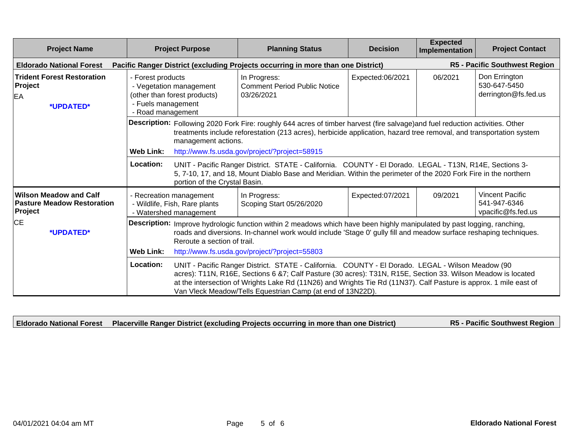| <b>Project Name</b>                                                           | <b>Project Purpose</b>                                                                                                  | <b>Planning Status</b>                                                                                                                                                                                                                                                                                                                                                                                                                                                                                                               | <b>Decision</b>  | <b>Expected</b><br>Implementation | <b>Project Contact</b>                                       |  |
|-------------------------------------------------------------------------------|-------------------------------------------------------------------------------------------------------------------------|--------------------------------------------------------------------------------------------------------------------------------------------------------------------------------------------------------------------------------------------------------------------------------------------------------------------------------------------------------------------------------------------------------------------------------------------------------------------------------------------------------------------------------------|------------------|-----------------------------------|--------------------------------------------------------------|--|
| <b>Eldorado National Forest</b>                                               |                                                                                                                         | Pacific Ranger District (excluding Projects occurring in more than one District)                                                                                                                                                                                                                                                                                                                                                                                                                                                     |                  |                                   | <b>R5 - Pacific Southwest Region</b>                         |  |
| <b>Trident Forest Restoration</b><br>Project<br>EA<br>*UPDATED*               | - Forest products<br>- Vegetation management<br>(other than forest products)<br>- Fuels management<br>- Road management | In Progress:<br><b>Comment Period Public Notice</b><br>03/26/2021                                                                                                                                                                                                                                                                                                                                                                                                                                                                    | Expected:06/2021 | 06/2021                           | Don Errington<br>530-647-5450<br>derrington@fs.fed.us        |  |
|                                                                               | management actions.<br><b>Web Link:</b><br>Location:                                                                    | Description: Following 2020 Fork Fire: roughly 644 acres of timber harvest (fire salvage) and fuel reduction activities. Other<br>treatments include reforestation (213 acres), herbicide application, hazard tree removal, and transportation system<br>http://www.fs.usda.gov/project/?project=58915<br>UNIT - Pacific Ranger District. STATE - California. COUNTY - El Dorado. LEGAL - T13N, R14E, Sections 3-<br>5, 7-10, 17, and 18, Mount Diablo Base and Meridian. Within the perimeter of the 2020 Fork Fire in the northern |                  |                                   |                                                              |  |
| <b>Wilson Meadow and Calf</b><br><b>Pasture Meadow Restoration</b><br>Project | portion of the Crystal Basin.<br>- Recreation management<br>- Wildlife, Fish, Rare plants<br>- Watershed management     | In Progress:<br>Scoping Start 05/26/2020                                                                                                                                                                                                                                                                                                                                                                                                                                                                                             | Expected:07/2021 | 09/2021                           | <b>Vincent Pacific</b><br>541-947-6346<br>vpacific@fs.fed.us |  |
| <b>CE</b><br>*UPDATED*                                                        | <b>Web Link:</b>                                                                                                        | Description: Improve hydrologic function within 2 meadows which have been highly manipulated by past logging, ranching,<br>roads and diversions. In-channel work would include 'Stage 0' gully fill and meadow surface reshaping techniques.<br>Reroute a section of trail.<br>http://www.fs.usda.gov/project/?project=55803                                                                                                                                                                                                         |                  |                                   |                                                              |  |
|                                                                               | Location:                                                                                                               | UNIT - Pacific Ranger District. STATE - California. COUNTY - El Dorado. LEGAL - Wilson Meadow (90<br>acres): T11N, R16E, Sections 6 &7; Calf Pasture (30 acres): T31N, R15E, Section 33. Wilson Meadow is located<br>at the intersection of Wrights Lake Rd (11N26) and Wrights Tie Rd (11N37). Calf Pasture is approx. 1 mile east of<br>Van Vleck Meadow/Tells Equestrian Camp (at end of 13N22D).                                                                                                                                 |                  |                                   |                                                              |  |

**Eldorado National Forest Placerville Ranger District (excluding Projects occurring in more than one District) R5 - Pacific Southwest Region**